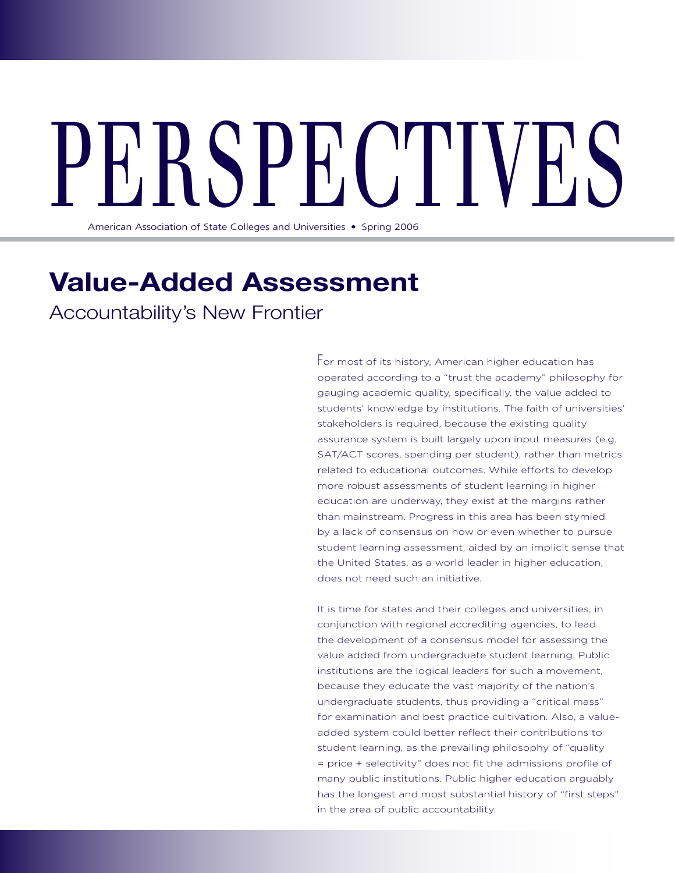# PHDDPHULIVED

American Association of State Colleges and Universities • Spring 2006

# **Value-Added Assessment**

Accountability's New Frontier

For most of its history, American higher education has operated according to a "trust the academy" philosophy for gauging academic quality, specifically, the value added to students' knowledge by institutions. The faith of universities' stakeholders is required, because the existing quality assurance system is built largely upon input measures (e.g. SAT/ACT scores, spending per student), rather than metrics related to educational outcomes. While efforts to develop more robust assessments of student learning in higher education are underway, they exist at the margins rather than mainstream. Progress in this area has been stymied by a lack of consensus on how or even whether to pursue student learning assessment, aided by an implicit sense that the United States, as a world leader in higher education, does not need such an initiative.

It is time for states and their colleges and universities, in conjunction with regional accrediting agencies, to lead the development of a consensus model for assessing the value added from undergraduate student learning. Public institutions are the logical leaders for such a movement, because they educate the vast majority of the nation's undergraduate students, thus providing a "critical mass" for examination and best practice cultivation. Also, a valueadded system could better reflect their contributions to student learning, as the prevailing philosophy of "quality = price + selectivity" does not fit the admissions profile of many public institutions. Public higher education arguably has the longest and most substantial history of "first steps" in the area of public accountability.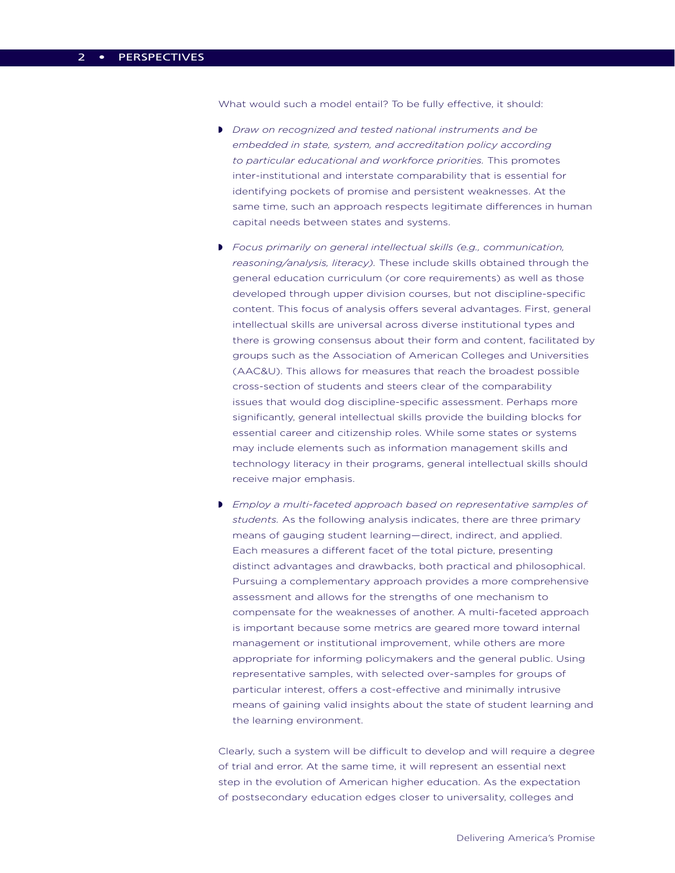What would such a model entail? To be fully effective, it should:

- **Draw on recognized and tested national instruments and be** *embedded in state, system, and accreditation policy according to particular educational and workforce priorities.* This promotes inter-institutional and interstate comparability that is essential for identifying pockets of promise and persistent weaknesses. At the same time, such an approach respects legitimate differences in human capital needs between states and systems.
- **B** Focus primarily on general intellectual skills (e.g., communication, *reasoning/analysis, literacy).* These include skills obtained through the general education curriculum (or core requirements) as well as those developed through upper division courses, but not discipline-specific content. This focus of analysis offers several advantages. First, general intellectual skills are universal across diverse institutional types and there is growing consensus about their form and content, facilitated by groups such as the Association of American Colleges and Universities (AAC&U). This allows for measures that reach the broadest possible cross-section of students and steers clear of the comparability issues that would dog discipline-specific assessment. Perhaps more significantly, general intellectual skills provide the building blocks for essential career and citizenship roles. While some states or systems may include elements such as information management skills and technology literacy in their programs, general intellectual skills should receive major emphasis.
- **Employ a multi-faceted approach based on representative samples of** *students.* As the following analysis indicates, there are three primary means of gauging student learning—direct, indirect, and applied. Each measures a different facet of the total picture, presenting distinct advantages and drawbacks, both practical and philosophical. Pursuing a complementary approach provides a more comprehensive assessment and allows for the strengths of one mechanism to compensate for the weaknesses of another. A multi-faceted approach is important because some metrics are geared more toward internal management or institutional improvement, while others are more appropriate for informing policymakers and the general public. Using representative samples, with selected over-samples for groups of particular interest, offers a cost-effective and minimally intrusive means of gaining valid insights about the state of student learning and the learning environment.

Clearly, such a system will be difficult to develop and will require a degree of trial and error. At the same time, it will represent an essential next step in the evolution of American higher education. As the expectation of postsecondary education edges closer to universality, colleges and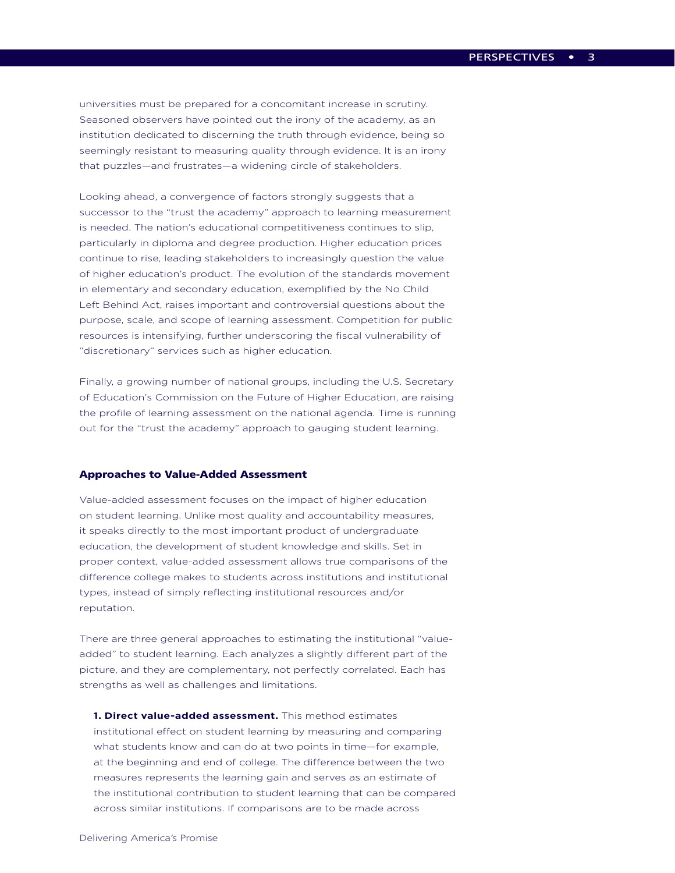universities must be prepared for a concomitant increase in scrutiny. Seasoned observers have pointed out the irony of the academy, as an institution dedicated to discerning the truth through evidence, being so seemingly resistant to measuring quality through evidence. It is an irony that puzzles—and frustrates—a widening circle of stakeholders.

Looking ahead, a convergence of factors strongly suggests that a successor to the "trust the academy" approach to learning measurement is needed. The nation's educational competitiveness continues to slip, particularly in diploma and degree production. Higher education prices continue to rise, leading stakeholders to increasingly question the value of higher education's product. The evolution of the standards movement in elementary and secondary education, exemplified by the No Child Left Behind Act, raises important and controversial questions about the purpose, scale, and scope of learning assessment. Competition for public resources is intensifying, further underscoring the fiscal vulnerability of "discretionary" services such as higher education.

Finally, a growing number of national groups, including the U.S. Secretary of Education's Commission on the Future of Higher Education, are raising the profile of learning assessment on the national agenda. Time is running out for the "trust the academy" approach to gauging student learning.

#### Approaches to Value-Added Assessment

Value-added assessment focuses on the impact of higher education on student learning. Unlike most quality and accountability measures, it speaks directly to the most important product of undergraduate education, the development of student knowledge and skills. Set in proper context, value-added assessment allows true comparisons of the difference college makes to students across institutions and institutional types, instead of simply reflecting institutional resources and/or reputation.

There are three general approaches to estimating the institutional "valueadded" to student learning. Each analyzes a slightly different part of the picture, and they are complementary, not perfectly correlated. Each has strengths as well as challenges and limitations.

 **1. Direct value-added assessment.** This method estimates institutional effect on student learning by measuring and comparing what students know and can do at two points in time—for example, at the beginning and end of college. The difference between the two measures represents the learning gain and serves as an estimate of the institutional contribution to student learning that can be compared across similar institutions. If comparisons are to be made across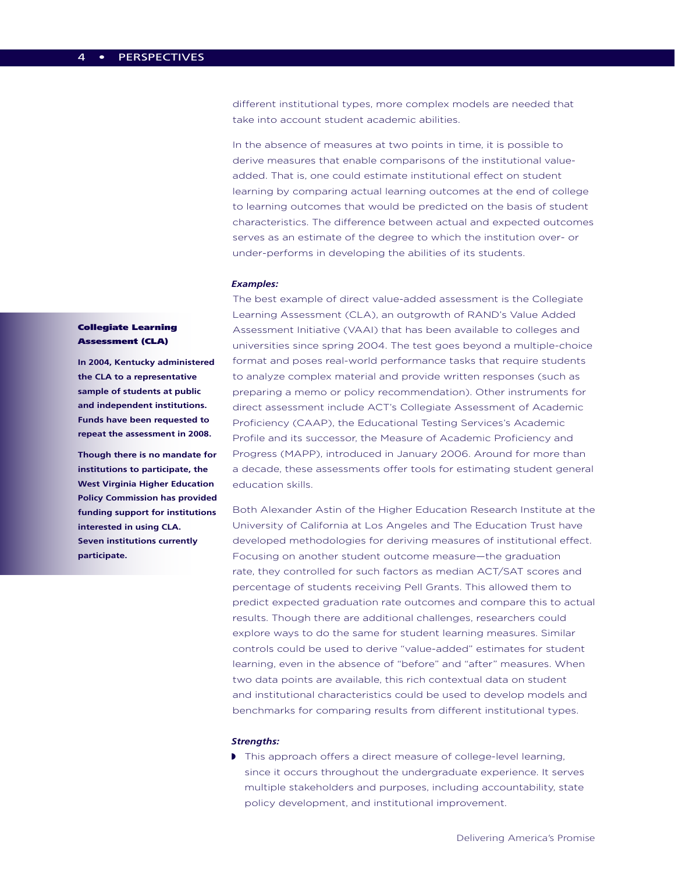different institutional types, more complex models are needed that take into account student academic abilities.

In the absence of measures at two points in time, it is possible to derive measures that enable comparisons of the institutional valueadded. That is, one could estimate institutional effect on student learning by comparing actual learning outcomes at the end of college to learning outcomes that would be predicted on the basis of student characteristics. The difference between actual and expected outcomes serves as an estimate of the degree to which the institution over- or under-performs in developing the abilities of its students.

#### *Examples:*

Collegiate Learning Assessment (CLA)

**In 2004, Kentucky administered the CLA to a representative sample of students at public and independent institutions. Funds have been requested to repeat the assessment in 2008.**

**Though there is no mandate for institutions to participate, the West Virginia Higher Education Policy Commission has provided funding support for institutions interested in using CLA. Seven institutions currently participate.** 

The best example of direct value-added assessment is the Collegiate Learning Assessment (CLA), an outgrowth of RAND's Value Added Assessment Initiative (VAAI) that has been available to colleges and universities since spring 2004. The test goes beyond a multiple-choice format and poses real-world performance tasks that require students to analyze complex material and provide written responses (such as preparing a memo or policy recommendation). Other instruments for direct assessment include ACT's Collegiate Assessment of Academic Proficiency (CAAP), the Educational Testing Services's Academic Profile and its successor, the Measure of Academic Proficiency and Progress (MAPP), introduced in January 2006. Around for more than a decade, these assessments offer tools for estimating student general education skills.

Both Alexander Astin of the Higher Education Research Institute at the University of California at Los Angeles and The Education Trust have developed methodologies for deriving measures of institutional effect. Focusing on another student outcome measure—the graduation rate, they controlled for such factors as median ACT/SAT scores and percentage of students receiving Pell Grants. This allowed them to predict expected graduation rate outcomes and compare this to actual results. Though there are additional challenges, researchers could explore ways to do the same for student learning measures. Similar controls could be used to derive "value-added" estimates for student learning, even in the absence of "before" and "after" measures. When two data points are available, this rich contextual data on student and institutional characteristics could be used to develop models and benchmarks for comparing results from different institutional types.

#### *Strengths:*

 $\triangleright$  This approach offers a direct measure of college-level learning, since it occurs throughout the undergraduate experience. It serves multiple stakeholders and purposes, including accountability, state policy development, and institutional improvement.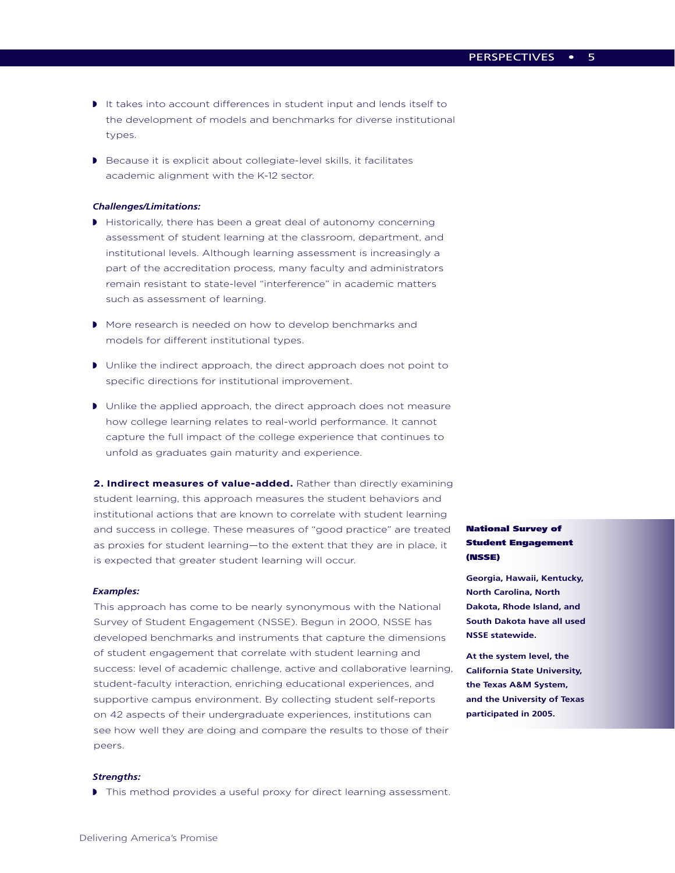- $\blacktriangleright$  It takes into account differences in student input and lends itself to the development of models and benchmarks for diverse institutional types.
- Because it is explicit about collegiate-level skills, it facilitates academic alignment with the K-12 sector.

#### *Challenges/Limitations:*

- Historically, there has been a great deal of autonomy concerning assessment of student learning at the classroom, department, and institutional levels. Although learning assessment is increasingly a part of the accreditation process, many faculty and administrators remain resistant to state-level "interference" in academic matters such as assessment of learning.
- More research is needed on how to develop benchmarks and models for different institutional types.
- $\triangleright$  Unlike the indirect approach, the direct approach does not point to specific directions for institutional improvement.
- I Unlike the applied approach, the direct approach does not measure how college learning relates to real-world performance. It cannot capture the full impact of the college experience that continues to unfold as graduates gain maturity and experience.

 **2. Indirect measures of value-added.** Rather than directly examining student learning, this approach measures the student behaviors and institutional actions that are known to correlate with student learning and success in college. These measures of "good practice" are treated as proxies for student learning—to the extent that they are in place, it is expected that greater student learning will occur.

#### *Examples:*

This approach has come to be nearly synonymous with the National Survey of Student Engagement (NSSE). Begun in 2000, NSSE has developed benchmarks and instruments that capture the dimensions of student engagement that correlate with student learning and success: level of academic challenge, active and collaborative learning, student-faculty interaction, enriching educational experiences, and supportive campus environment. By collecting student self-reports on 42 aspects of their undergraduate experiences, institutions can see how well they are doing and compare the results to those of their peers.

#### National Survey of Student Engagement (NSSE)

**Georgia, Hawaii, Kentucky, North Carolina, North Dakota, Rhode Island, and South Dakota have all used NSSE statewide.**

**At the system level, the California State University, the Texas A&M System, and the University of Texas participated in 2005.**

#### *Strengths:*

 $\blacktriangleright$  This method provides a useful proxy for direct learning assessment.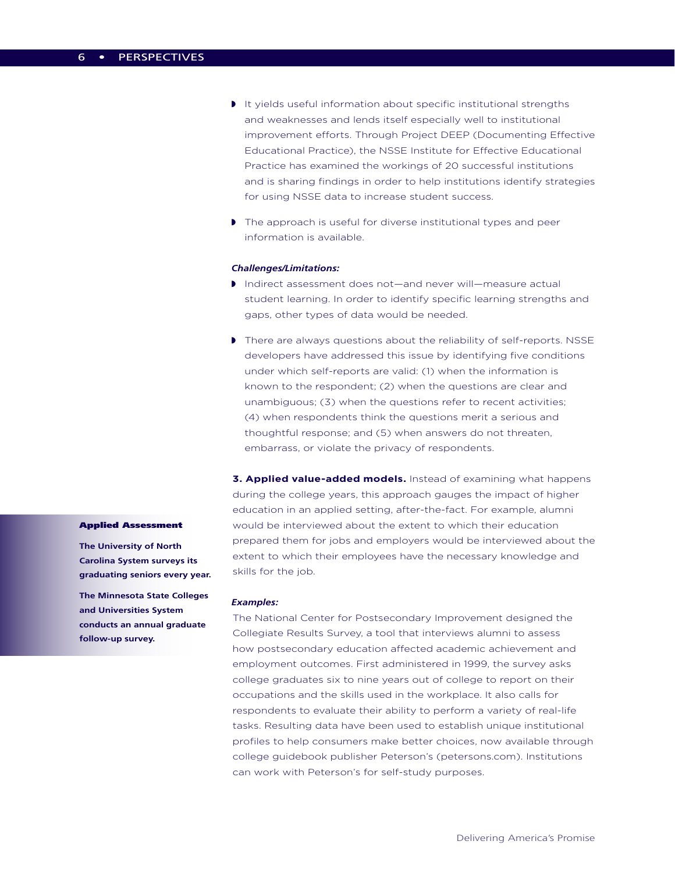- I It yields useful information about specific institutional strengths and weaknesses and lends itself especially well to institutional improvement efforts. Through Project DEEP (Documenting Effective Educational Practice), the NSSE Institute for Effective Educational Practice has examined the workings of 20 successful institutions and is sharing findings in order to help institutions identify strategies for using NSSE data to increase student success.
- $\blacktriangleright$  The approach is useful for diverse institutional types and peer information is available.

#### *Challenges/Limitations:*

- $\blacksquare$  Indirect assessment does not—and never will—measure actual student learning. In order to identify specific learning strengths and gaps, other types of data would be needed.
- There are always questions about the reliability of self-reports. NSSE developers have addressed this issue by identifying five conditions under which self-reports are valid: (1) when the information is known to the respondent; (2) when the questions are clear and unambiguous; (3) when the questions refer to recent activities; (4) when respondents think the questions merit a serious and thoughtful response; and (5) when answers do not threaten, embarrass, or violate the privacy of respondents.

 **3. Applied value-added models.** Instead of examining what happens during the college years, this approach gauges the impact of higher education in an applied setting, after-the-fact. For example, alumni would be interviewed about the extent to which their education prepared them for jobs and employers would be interviewed about the extent to which their employees have the necessary knowledge and skills for the job.

#### *Examples:*

The National Center for Postsecondary Improvement designed the Collegiate Results Survey, a tool that interviews alumni to assess how postsecondary education affected academic achievement and employment outcomes. First administered in 1999, the survey asks college graduates six to nine years out of college to report on their occupations and the skills used in the workplace. It also calls for respondents to evaluate their ability to perform a variety of real-life tasks. Resulting data have been used to establish unique institutional profiles to help consumers make better choices, now available through college guidebook publisher Peterson's (petersons.com). Institutions can work with Peterson's for self-study purposes.

#### Applied Assessment

**The University of North Carolina System surveys its graduating seniors every year.** 

**The Minnesota State Colleges and Universities System conducts an annual graduate follow-up survey.**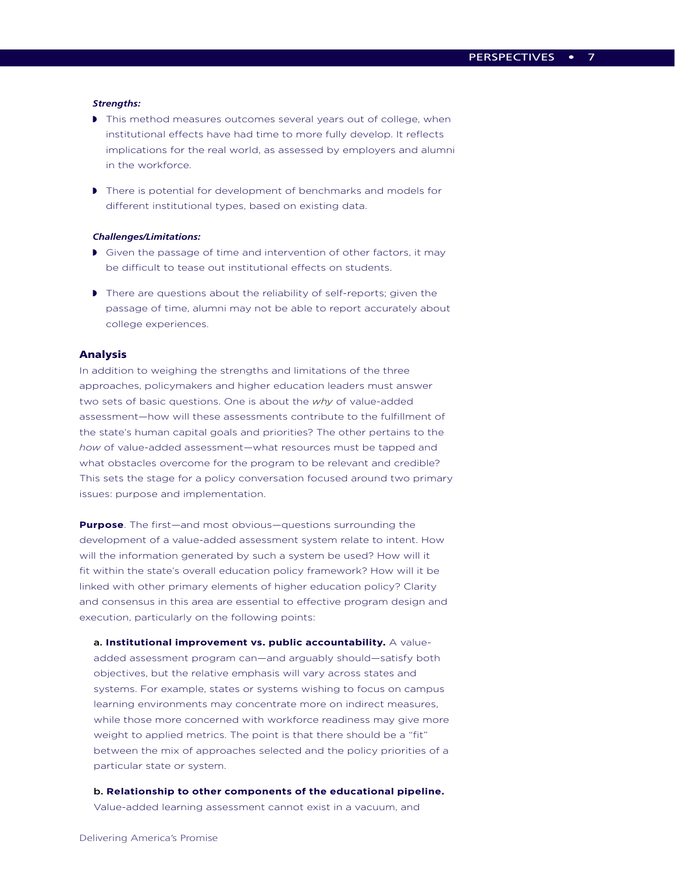#### *Strengths:*

- I This method measures outcomes several years out of college, when institutional effects have had time to more fully develop. It reflects implications for the real world, as assessed by employers and alumni in the workforce.
- There is potential for development of benchmarks and models for different institutional types, based on existing data.

#### *Challenges/Limitations:*

- $\triangleright$  Given the passage of time and intervention of other factors, it may be difficult to tease out institutional effects on students.
- $\blacktriangleright$  There are questions about the reliability of self-reports; given the passage of time, alumni may not be able to report accurately about college experiences.

#### Analysis

In addition to weighing the strengths and limitations of the three approaches, policymakers and higher education leaders must answer two sets of basic questions. One is about the *why* of value-added assessment—how will these assessments contribute to the fulfillment of the state's human capital goals and priorities? The other pertains to the *how* of value-added assessment—what resources must be tapped and what obstacles overcome for the program to be relevant and credible? This sets the stage for a policy conversation focused around two primary issues: purpose and implementation.

**Purpose**. The first—and most obvious—questions surrounding the development of a value-added assessment system relate to intent. How will the information generated by such a system be used? How will it fit within the state's overall education policy framework? How will it be linked with other primary elements of higher education policy? Clarity and consensus in this area are essential to effective program design and execution, particularly on the following points:

 a. **Institutional improvement vs. public accountability.** A valueadded assessment program can—and arguably should—satisfy both objectives, but the relative emphasis will vary across states and systems. For example, states or systems wishing to focus on campus learning environments may concentrate more on indirect measures, while those more concerned with workforce readiness may give more weight to applied metrics. The point is that there should be a "fit" between the mix of approaches selected and the policy priorities of a particular state or system.

 b. **Relationship to other components of the educational pipeline.** Value-added learning assessment cannot exist in a vacuum, and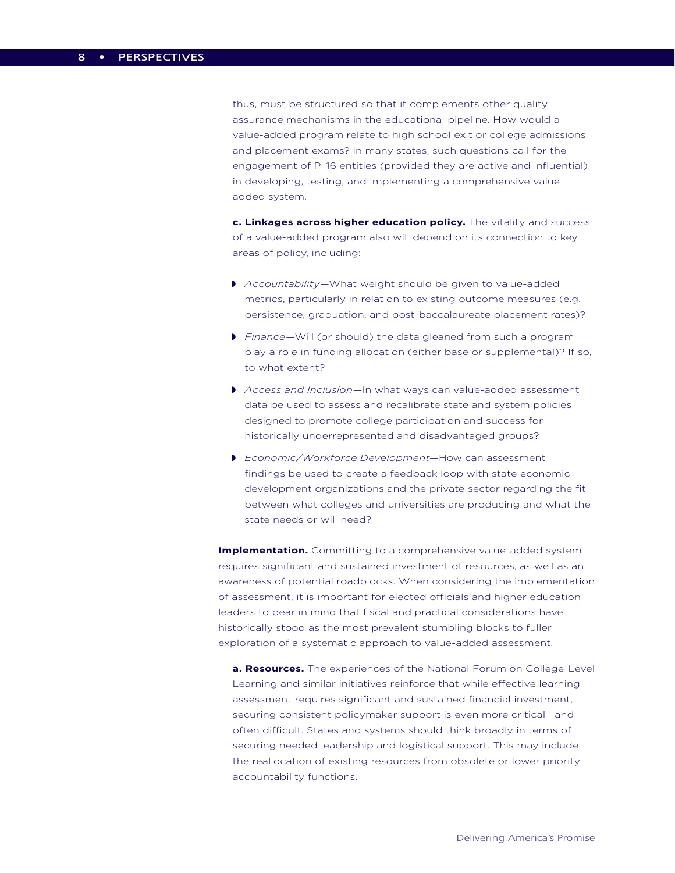thus, must be structured so that it complements other quality assurance mechanisms in the educational pipeline. How would a value-added program relate to high school exit or college admissions and placement exams? In many states, such questions call for the engagement of P–16 entities (provided they are active and influential) in developing, testing, and implementing a comprehensive valueadded system.

 **c. Linkages across higher education policy.** The vitality and success of a value-added program also will depend on its connection to key areas of policy, including:

- **Accountability—What weight should be given to value-added** metrics, particularly in relation to existing outcome measures (e.g. persistence, graduation, and post-baccalaureate placement rates)?
- **Finance—Will (or should) the data gleaned from such a program** play a role in funding allocation (either base or supplemental)? If so, to what extent?
- **Access and Inclusion—In what ways can value-added assessment** data be used to assess and recalibrate state and system policies designed to promote college participation and success for historically underrepresented and disadvantaged groups?
- **Economic/Workforce Development-How can assessment** findings be used to create a feedback loop with state economic development organizations and the private sector regarding the fit between what colleges and universities are producing and what the state needs or will need?

**Implementation.** Committing to a comprehensive value-added system requires significant and sustained investment of resources, as well as an awareness of potential roadblocks. When considering the implementation of assessment, it is important for elected officials and higher education leaders to bear in mind that fiscal and practical considerations have historically stood as the most prevalent stumbling blocks to fuller exploration of a systematic approach to value-added assessment.

 **a. Resources.** The experiences of the National Forum on College-Level Learning and similar initiatives reinforce that while effective learning assessment requires significant and sustained financial investment, securing consistent policymaker support is even more critical—and often difficult. States and systems should think broadly in terms of securing needed leadership and logistical support. This may include the reallocation of existing resources from obsolete or lower priority accountability functions.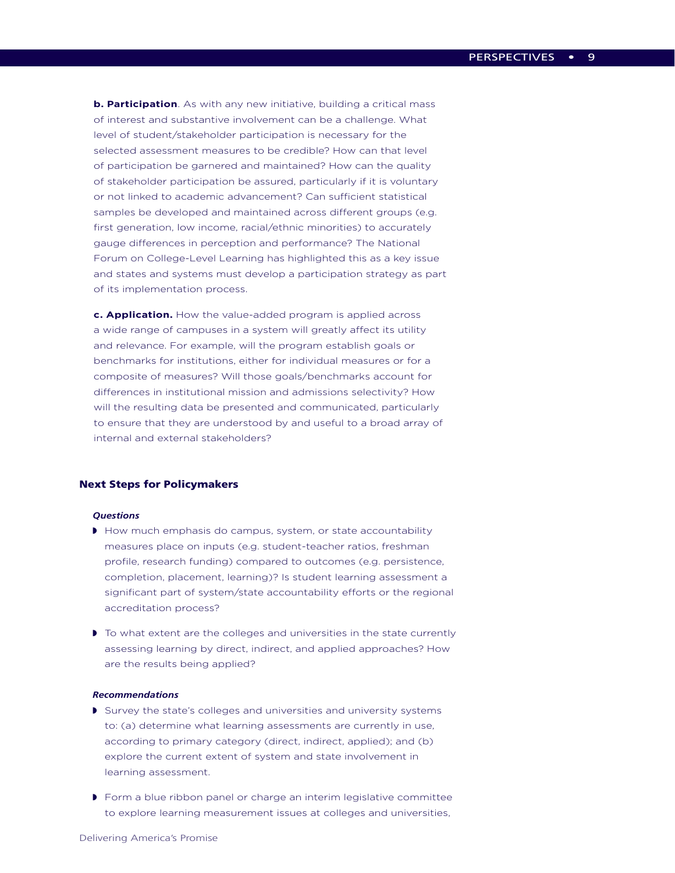**b. Participation**. As with any new initiative, building a critical mass of interest and substantive involvement can be a challenge. What level of student/stakeholder participation is necessary for the selected assessment measures to be credible? How can that level of participation be garnered and maintained? How can the quality of stakeholder participation be assured, particularly if it is voluntary or not linked to academic advancement? Can sufficient statistical samples be developed and maintained across different groups (e.g. first generation, low income, racial/ethnic minorities) to accurately gauge differences in perception and performance? The National Forum on College-Level Learning has highlighted this as a key issue and states and systems must develop a participation strategy as part of its implementation process.

**c. Application.** How the value-added program is applied across a wide range of campuses in a system will greatly affect its utility and relevance. For example, will the program establish goals or benchmarks for institutions, either for individual measures or for a composite of measures? Will those goals/benchmarks account for differences in institutional mission and admissions selectivity? How will the resulting data be presented and communicated, particularly to ensure that they are understood by and useful to a broad array of internal and external stakeholders?

#### Next Steps for Policymakers

#### *Questions*

- How much emphasis do campus, system, or state accountability measures place on inputs (e.g. student-teacher ratios, freshman profile, research funding) compared to outcomes (e.g. persistence, completion, placement, learning)? Is student learning assessment a significant part of system/state accountability efforts or the regional accreditation process?
- $\triangleright$  To what extent are the colleges and universities in the state currently assessing learning by direct, indirect, and applied approaches? How are the results being applied?

#### *Recommendations*

- Survey the state's colleges and universities and university systems to: (a) determine what learning assessments are currently in use, according to primary category (direct, indirect, applied); and (b) explore the current extent of system and state involvement in learning assessment.
- $\triangleright$  Form a blue ribbon panel or charge an interim legislative committee to explore learning measurement issues at colleges and universities,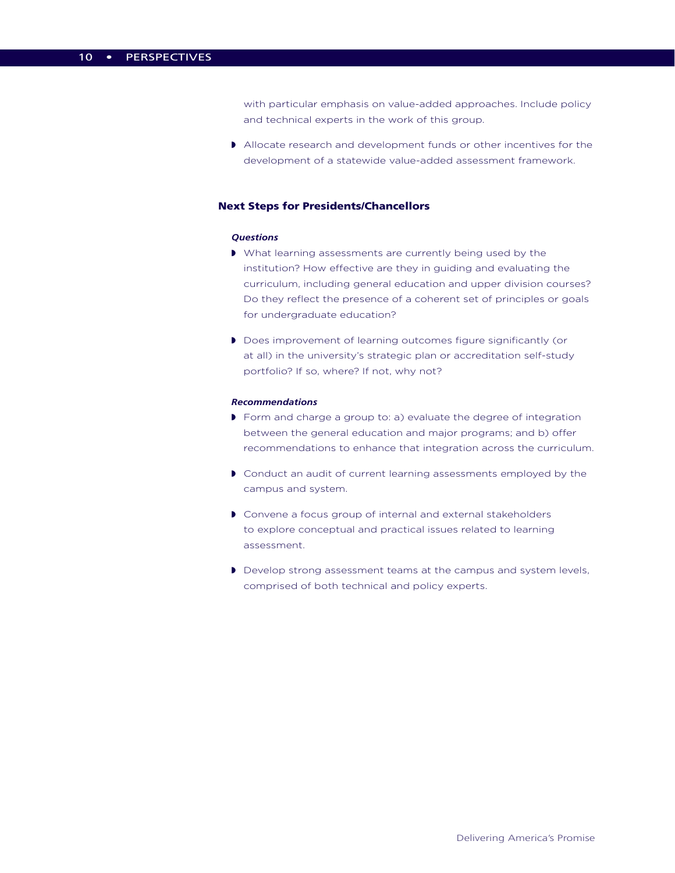with particular emphasis on value-added approaches. Include policy and technical experts in the work of this group.

Allocate research and development funds or other incentives for the development of a statewide value-added assessment framework.

#### Next Steps for Presidents/Chancellors

#### *Questions*

- What learning assessments are currently being used by the institution? How effective are they in guiding and evaluating the curriculum, including general education and upper division courses? Do they reflect the presence of a coherent set of principles or goals for undergraduate education?
- Does improvement of learning outcomes figure significantly (or at all) in the university's strategic plan or accreditation self-study portfolio? If so, where? If not, why not?

#### *Recommendations*

- $\blacktriangleright$  Form and charge a group to: a) evaluate the degree of integration between the general education and major programs; and b) offer recommendations to enhance that integration across the curriculum.
- **D** Conduct an audit of current learning assessments employed by the campus and system.
- Convene a focus group of internal and external stakeholders to explore conceptual and practical issues related to learning assessment.
- Develop strong assessment teams at the campus and system levels, comprised of both technical and policy experts.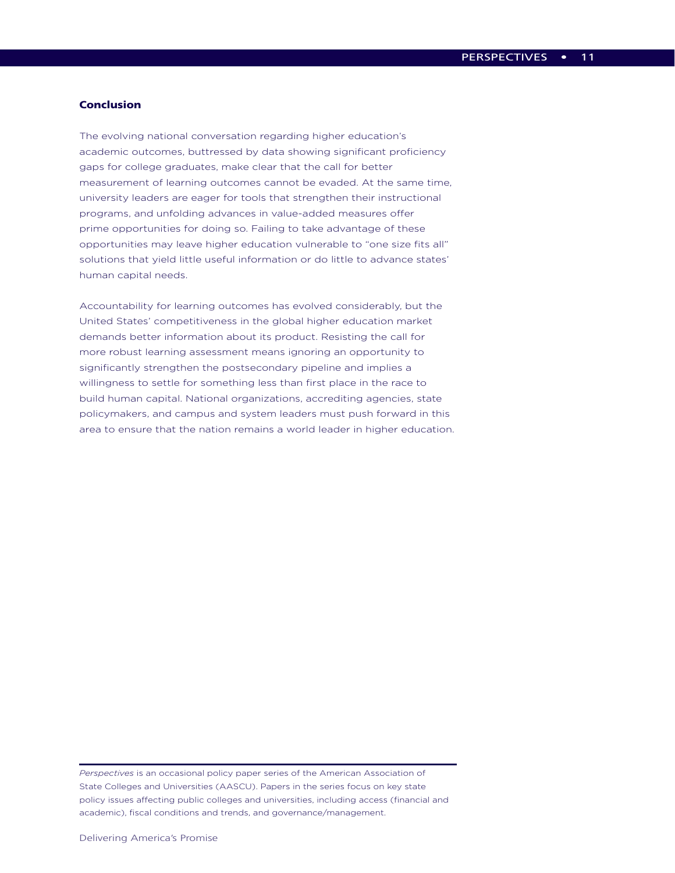#### **Conclusion**

The evolving national conversation regarding higher education's academic outcomes, buttressed by data showing significant proficiency gaps for college graduates, make clear that the call for better measurement of learning outcomes cannot be evaded. At the same time, university leaders are eager for tools that strengthen their instructional programs, and unfolding advances in value-added measures offer prime opportunities for doing so. Failing to take advantage of these opportunities may leave higher education vulnerable to "one size fits all" solutions that yield little useful information or do little to advance states' human capital needs.

Accountability for learning outcomes has evolved considerably, but the United States' competitiveness in the global higher education market demands better information about its product. Resisting the call for more robust learning assessment means ignoring an opportunity to significantly strengthen the postsecondary pipeline and implies a willingness to settle for something less than first place in the race to build human capital. National organizations, accrediting agencies, state policymakers, and campus and system leaders must push forward in this area to ensure that the nation remains a world leader in higher education.

*Perspectives* is an occasional policy paper series of the American Association of State Colleges and Universities (AASCU). Papers in the series focus on key state policy issues affecting public colleges and universities, including access (financial and academic), fiscal conditions and trends, and governance/management.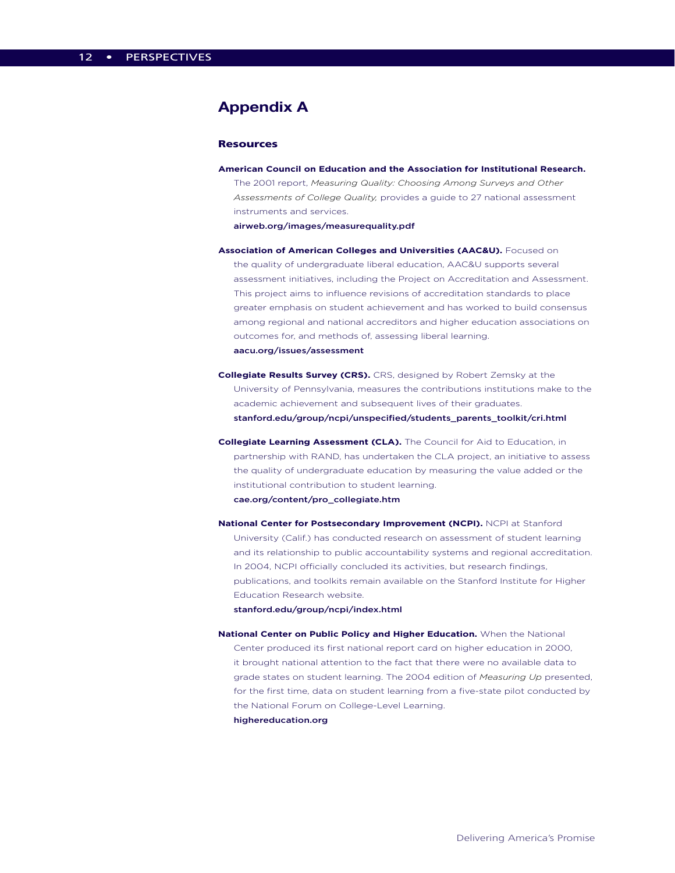## **Appendix A**

#### Resources

**American Council on Education and the Association for Institutional Research.**

The 2001 report, *Measuring Quality: Choosing Among Surveys and Other Assessments of College Quality,* provides a guide to 27 national assessment instruments and services.

airweb.org/images/measurequality.pdf

**Association of American Colleges and Universities (AAC&U).** Focused on the quality of undergraduate liberal education, AAC&U supports several assessment initiatives, including the Project on Accreditation and Assessment. This project aims to influence revisions of accreditation standards to place greater emphasis on student achievement and has worked to build consensus among regional and national accreditors and higher education associations on outcomes for, and methods of, assessing liberal learning.

#### aacu.org/issues/assessment

- **Collegiate Results Survey (CRS).** CRS, designed by Robert Zemsky at the University of Pennsylvania, measures the contributions institutions make to the academic achievement and subsequent lives of their graduates. stanford.edu/group/ncpi/unspecified/students\_parents\_toolkit/cri.html
- **Collegiate Learning Assessment (CLA).** The Council for Aid to Education, in partnership with RAND, has undertaken the CLA project, an initiative to assess the quality of undergraduate education by measuring the value added or the institutional contribution to student learning.

#### cae.org/content/pro\_collegiate.htm

**National Center for Postsecondary Improvement (NCPI).** NCPI at Stanford University (Calif.) has conducted research on assessment of student learning and its relationship to public accountability systems and regional accreditation. In 2004, NCPI officially concluded its activities, but research findings, publications, and toolkits remain available on the Stanford Institute for Higher Education Research website.

#### stanford.edu/group/ncpi/index.html

**National Center on Public Policy and Higher Education.** When the National Center produced its first national report card on higher education in 2000, it brought national attention to the fact that there were no available data to grade states on student learning. The 2004 edition of *Measuring Up* presented, for the first time, data on student learning from a five-state pilot conducted by the National Forum on College-Level Learning.

 highereducation.org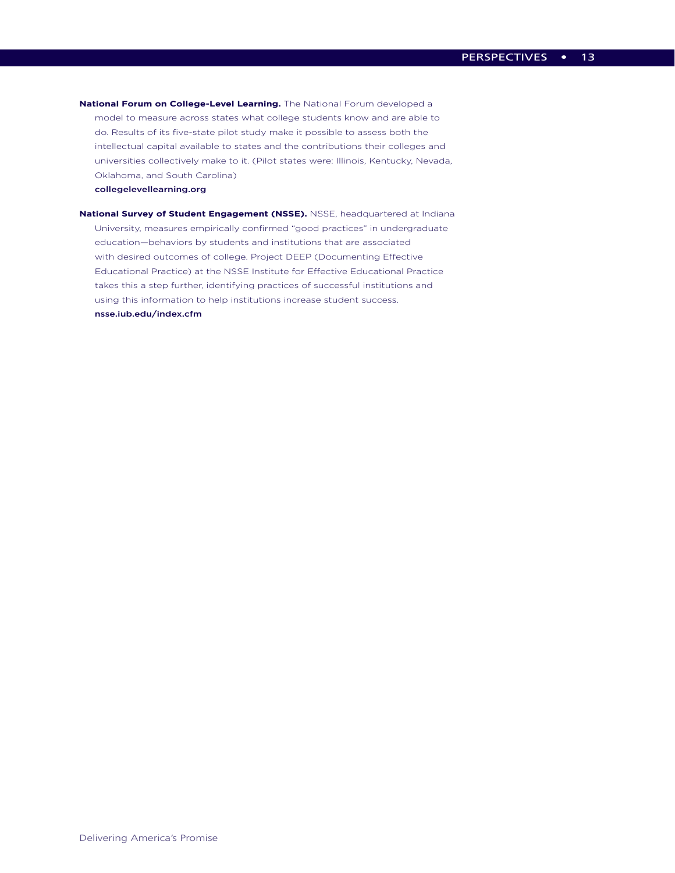- **National Forum on College-Level Learning.** The National Forum developed a model to measure across states what college students know and are able to do. Results of its five-state pilot study make it possible to assess both the intellectual capital available to states and the contributions their colleges and universities collectively make to it. (Pilot states were: Illinois, Kentucky, Nevada, Oklahoma, and South Carolina)
	- collegelevellearning.org
- **National Survey of Student Engagement (NSSE).** NSSE, headquartered at Indiana University, measures empirically confirmed "good practices" in undergraduate education—behaviors by students and institutions that are associated with desired outcomes of college. Project DEEP (Documenting Effective Educational Practice) at the NSSE Institute for Effective Educational Practice takes this a step further, identifying practices of successful institutions and using this information to help institutions increase student success.

 nsse.iub.edu/index.cfm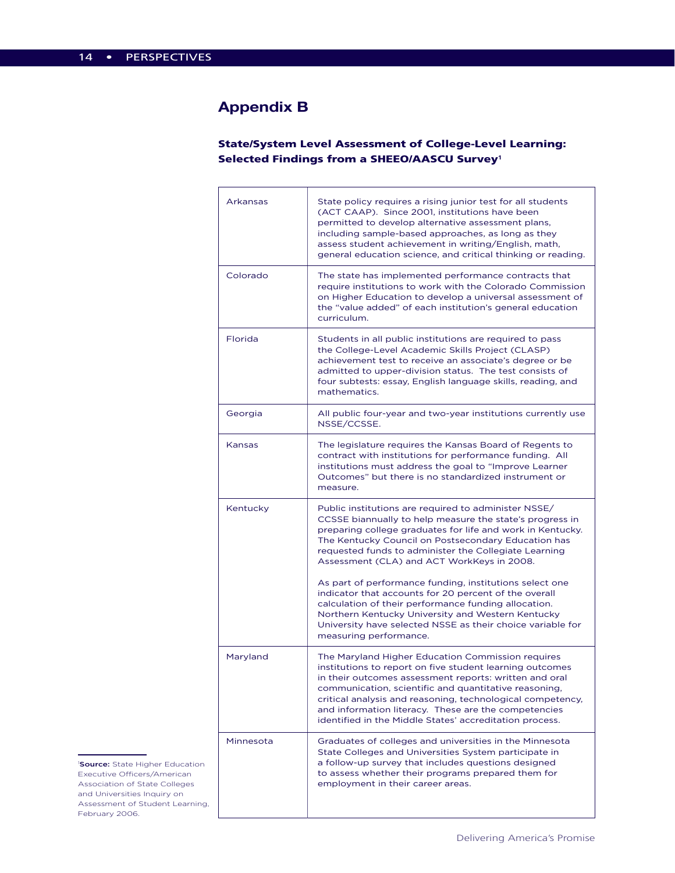# **Appendix B**

### State/System Level Assessment of College-Level Learning: Selected Findings from a SHEEO/AASCU Survey**<sup>1</sup>**

| Arkansas  | State policy requires a rising junior test for all students<br>(ACT CAAP). Since 2001, institutions have been<br>permitted to develop alternative assessment plans,<br>including sample-based approaches, as long as they<br>assess student achievement in writing/English, math,<br>general education science, and critical thinking or reading.                                                                 |
|-----------|-------------------------------------------------------------------------------------------------------------------------------------------------------------------------------------------------------------------------------------------------------------------------------------------------------------------------------------------------------------------------------------------------------------------|
| Colorado  | The state has implemented performance contracts that<br>require institutions to work with the Colorado Commission<br>on Higher Education to develop a universal assessment of<br>the "value added" of each institution's general education<br>curriculum.                                                                                                                                                         |
| Florida   | Students in all public institutions are required to pass<br>the College-Level Academic Skills Project (CLASP)<br>achievement test to receive an associate's degree or be<br>admitted to upper-division status. The test consists of<br>four subtests: essay, English language skills, reading, and<br>mathematics.                                                                                                |
| Georgia   | All public four-year and two-year institutions currently use<br>NSSE/CCSSE.                                                                                                                                                                                                                                                                                                                                       |
| Kansas    | The legislature requires the Kansas Board of Regents to<br>contract with institutions for performance funding. All<br>institutions must address the goal to "Improve Learner<br>Outcomes" but there is no standardized instrument or<br>measure.                                                                                                                                                                  |
| Kentucky  | Public institutions are required to administer NSSE/<br>CCSSE biannually to help measure the state's progress in<br>preparing college graduates for life and work in Kentucky.<br>The Kentucky Council on Postsecondary Education has<br>requested funds to administer the Collegiate Learning<br>Assessment (CLA) and ACT WorkKeys in 2008.                                                                      |
|           | As part of performance funding, institutions select one<br>indicator that accounts for 20 percent of the overall<br>calculation of their performance funding allocation.<br>Northern Kentucky University and Western Kentucky<br>University have selected NSSE as their choice variable for<br>measuring performance.                                                                                             |
| Maryland  | The Maryland Higher Education Commission requires<br>institutions to report on five student learning outcomes<br>in their outcomes assessment reports: written and oral<br>communication, scientific and quantitative reasoning,<br>critical analysis and reasoning, technological competency,<br>and information literacy. These are the competencies<br>identified in the Middle States' accreditation process. |
| Minnesota | Graduates of colleges and universities in the Minnesota<br>State Colleges and Universities System participate in<br>a follow-up survey that includes questions designed<br>to assess whether their programs prepared them for<br>employment in their career areas.                                                                                                                                                |

Source: State Higher Education Executive Officers/American Association of State Colleges and Universities Inquiry on Assessment of Student Learning, February 2006.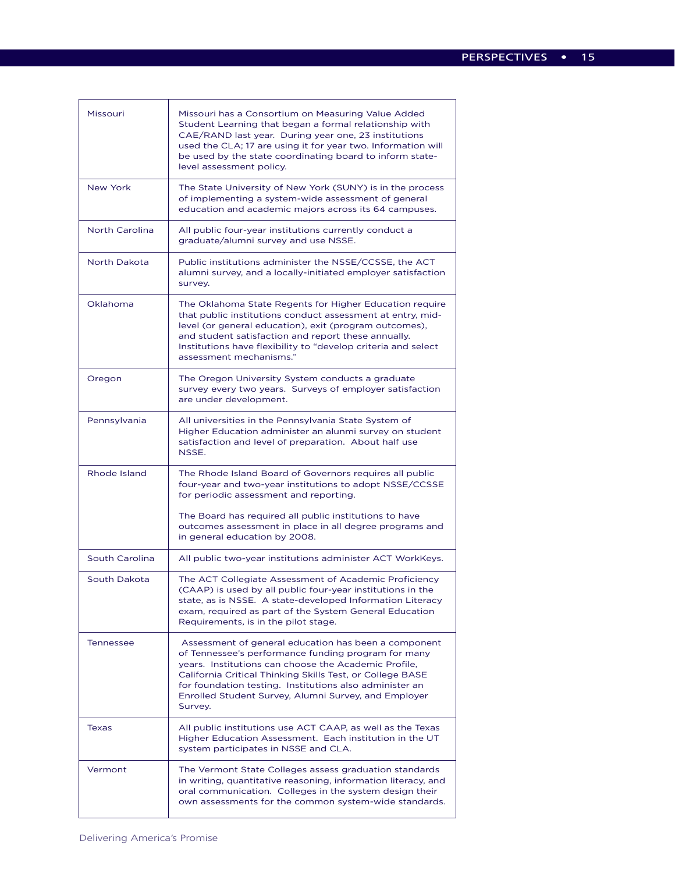| Missouri         | Missouri has a Consortium on Measuring Value Added<br>Student Learning that began a formal relationship with<br>CAE/RAND last year. During year one, 23 institutions<br>used the CLA; 17 are using it for year two. Information will<br>be used by the state coordinating board to inform state-<br>level assessment policy.                                   |
|------------------|----------------------------------------------------------------------------------------------------------------------------------------------------------------------------------------------------------------------------------------------------------------------------------------------------------------------------------------------------------------|
| New York         | The State University of New York (SUNY) is in the process<br>of implementing a system-wide assessment of general<br>education and academic majors across its 64 campuses.                                                                                                                                                                                      |
| North Carolina   | All public four-year institutions currently conduct a<br>graduate/alumni survey and use NSSE.                                                                                                                                                                                                                                                                  |
| North Dakota     | Public institutions administer the NSSE/CCSSE, the ACT<br>alumni survey, and a locally-initiated employer satisfaction<br>survey.                                                                                                                                                                                                                              |
| Oklahoma         | The Oklahoma State Regents for Higher Education require<br>that public institutions conduct assessment at entry, mid-<br>level (or general education), exit (program outcomes),<br>and student satisfaction and report these annually.<br>Institutions have flexibility to "develop criteria and select<br>assessment mechanisms."                             |
| Oregon           | The Oregon University System conducts a graduate<br>survey every two years. Surveys of employer satisfaction<br>are under development.                                                                                                                                                                                                                         |
| Pennsylvania     | All universities in the Pennsylvania State System of<br>Higher Education administer an alunmi survey on student<br>satisfaction and level of preparation. About half use<br>NSSE.                                                                                                                                                                              |
| Rhode Island     | The Rhode Island Board of Governors requires all public<br>four-year and two-year institutions to adopt NSSE/CCSSE<br>for periodic assessment and reporting.                                                                                                                                                                                                   |
|                  | The Board has required all public institutions to have<br>outcomes assessment in place in all degree programs and<br>in general education by 2008.                                                                                                                                                                                                             |
| South Carolina   | All public two-year institutions administer ACT WorkKeys.                                                                                                                                                                                                                                                                                                      |
| South Dakota     | The ACT Collegiate Assessment of Academic Proficiency<br>(CAAP) is used by all public four-year institutions in the<br>state, as is NSSE. A state-developed Information Literacy<br>exam, required as part of the System General Education<br>Requirements, is in the pilot stage.                                                                             |
| <b>Tennessee</b> | Assessment of general education has been a component<br>of Tennessee's performance funding program for many<br>years. Institutions can choose the Academic Profile,<br>California Critical Thinking Skills Test, or College BASE<br>for foundation testing. Institutions also administer an<br>Enrolled Student Survey, Alumni Survey, and Employer<br>Survey. |
| <b>Texas</b>     | All public institutions use ACT CAAP, as well as the Texas<br>Higher Education Assessment. Each institution in the UT<br>system participates in NSSE and CLA.                                                                                                                                                                                                  |
| Vermont          | The Vermont State Colleges assess graduation standards<br>in writing, quantitative reasoning, information literacy, and<br>oral communication. Colleges in the system design their<br>own assessments for the common system-wide standards.                                                                                                                    |